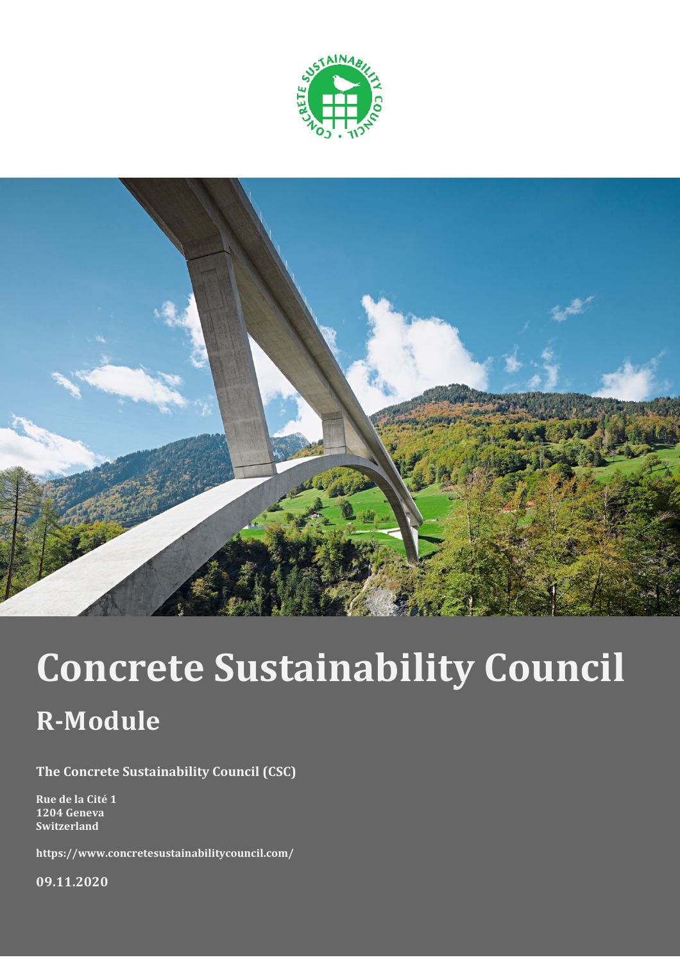



# **Concrete Sustainability Council R-Module**

**The Concrete Sustainability Council (CSC)**

**Rue de la Cité 1 1204 Geneva Switzerland**

**https://www.concretesustainabilitycouncil.com/**

**09.11.2020**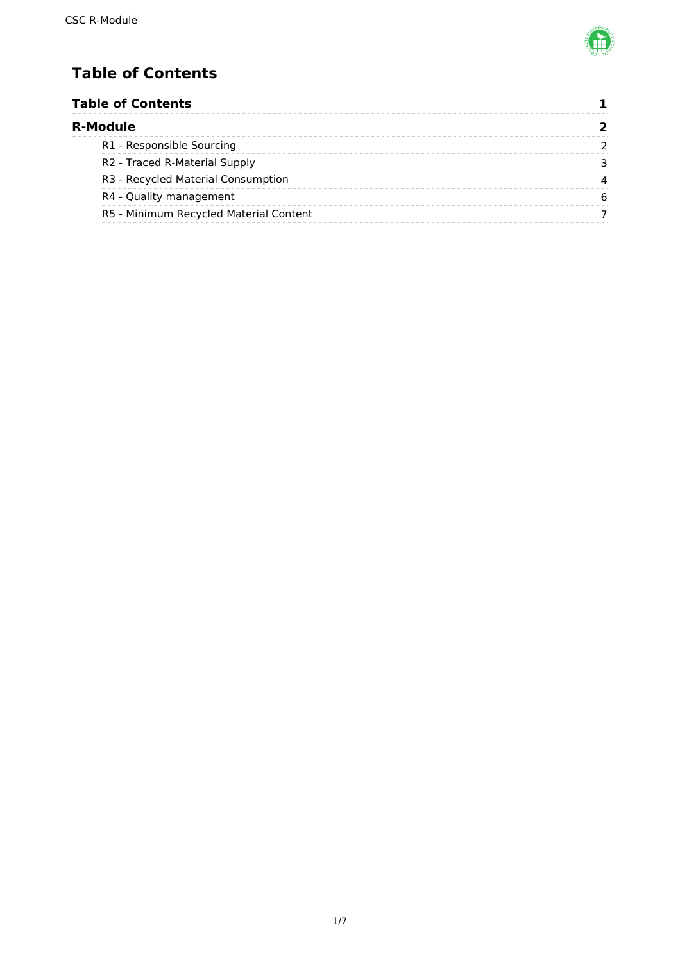

# <span id="page-1-0"></span>**Table of Contents**

|  | <b>Table of Contents</b><br><b>R-Module</b> |   |
|--|---------------------------------------------|---|
|  |                                             |   |
|  | R1 - Responsible Sourcing                   |   |
|  | R <sub>2</sub> - Traced R-Material Supply   |   |
|  | R3 - Recycled Material Consumption          | 4 |
|  | R4 - Quality management                     | 6 |
|  | R5 - Minimum Recycled Material Content      |   |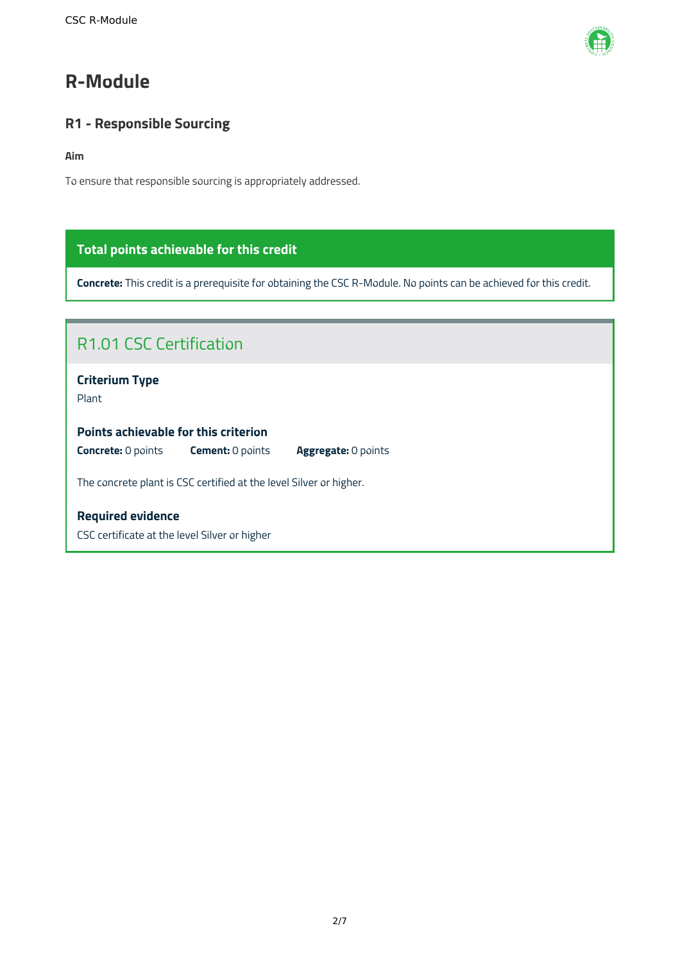

# <span id="page-2-0"></span>**R-Module**

# <span id="page-2-1"></span>**R1 - Responsible Sourcing**

### **Aim**

To ensure that responsible sourcing is appropriately addressed.

# **Total points achievable for this credit**

**Concrete:** This credit is a prerequisite for obtaining the CSC R-Module. No points can be achieved for this credit.

| R <sub>1.01</sub> CSC Certification                                                |  |  |
|------------------------------------------------------------------------------------|--|--|
| <b>Criterium Type</b><br>Plant                                                     |  |  |
| Points achievable for this criterion                                               |  |  |
| <b>Concrete: 0 points</b><br><b>Cement: 0 points</b><br><b>Aggregate: 0 points</b> |  |  |
| The concrete plant is CSC certified at the level Silver or higher.                 |  |  |
| <b>Required evidence</b>                                                           |  |  |
| CSC certificate at the level Silver or higher                                      |  |  |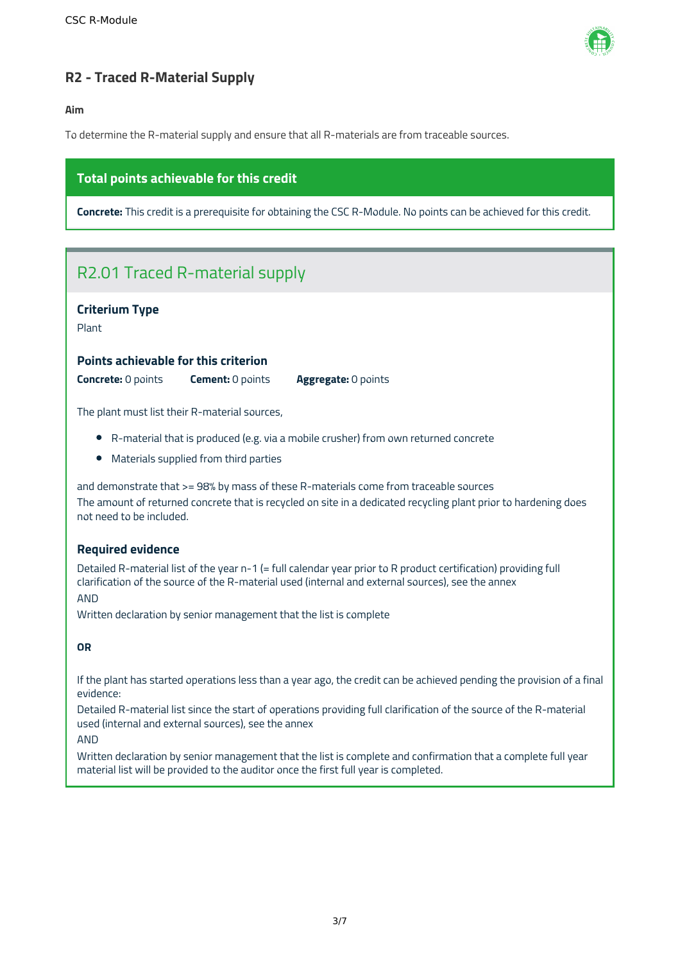

# <span id="page-3-0"></span>**R2 - Traced R-Material Supply**

#### **Aim**

To determine the R-material supply and ensure that all R-materials are from traceable sources.

# **Total points achievable for this credit**

**Concrete:** This credit is a prerequisite for obtaining the CSC R-Module. No points can be achieved for this credit.

# R2.01 Traced R-material supply

## **Criterium Type**

Plant

#### **Points achievable for this criterion**

**Concrete:** 0 points **Cement:** 0 points **Aggregate:** 0 points

The plant must list their R-material sources,

- R-material that is produced (e.g. via a mobile crusher) from own returned concrete
- Materials supplied from third parties

and demonstrate that >= 98% by mass of these R-materials come from traceable sources The amount of returned concrete that is recycled on site in a dedicated recycling plant prior to hardening does not need to be included.

## **Required evidence**

Detailed R-material list of the year n-1 (= full calendar year prior to R product certification) providing full clarification of the source of the R-material used (internal and external sources), see the annex AND

Written declaration by senior management that the list is complete

## **OR**

If the plant has started operations less than a year ago, the credit can be achieved pending the provision of a final evidence:

Detailed R-material list since the start of operations providing full clarification of the source of the R-material used (internal and external sources), see the annex

#### AND

Written declaration by senior management that the list is complete and confirmation that a complete full year material list will be provided to the auditor once the first full year is completed.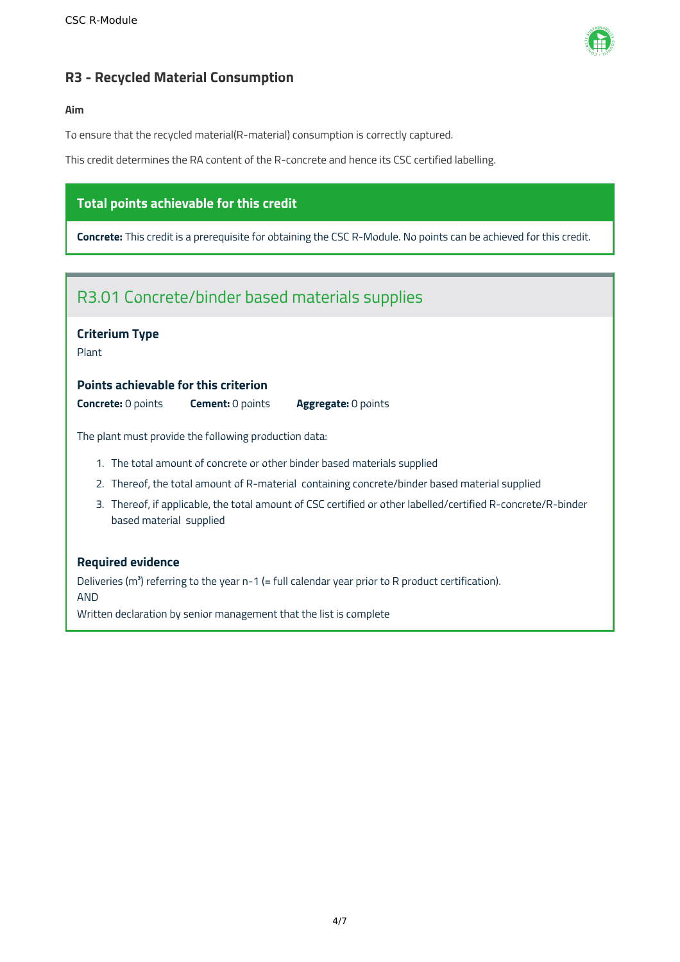

# <span id="page-4-0"></span>**R3 - Recycled Material Consumption**

#### **Aim**

To ensure that the recycled material(R-material) consumption is correctly captured.

This credit determines the RA content of the R-concrete and hence its CSC certified labelling.

# **Total points achievable for this credit**

**Concrete:** This credit is a prerequisite for obtaining the CSC R-Module. No points can be achieved for this credit.



## **Required evidence**

Deliveries ( $m<sup>3</sup>$ ) referring to the year n-1 (= full calendar year prior to R product certification). AND

Written declaration by senior management that the list is complete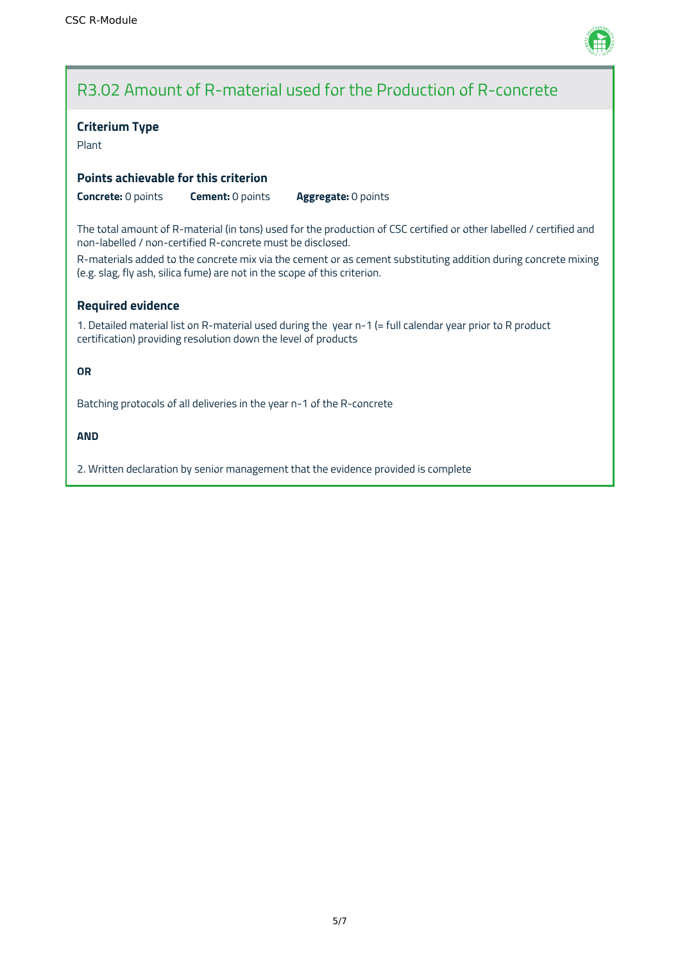

# R3.02 Amount of R-material used for the Production of R-concrete

#### **Criterium Type**

Plant

## **Points achievable for this criterion**

**Concrete:** 0 points **Cement:** 0 points **Aggregate:** 0 points

The total amount of R-material (in tons) used for the production of CSC certified or other labelled / certified and non-labelled / non-certified R-concrete must be disclosed.

R-materials added to the concrete mix via the cement or as cement substituting addition during concrete mixing (e.g. slag, fly ash, silica fume) are not in the scope of this criterion.

## **Required evidence**

1. Detailed material list on R-material used during the year n-1 (= full calendar year prior to R product certification) providing resolution down the level of products

**OR**

Batching protocols of all deliveries in the year n-1 of the R-concrete

**AND**

2. Written declaration by senior management that the evidence provided is complete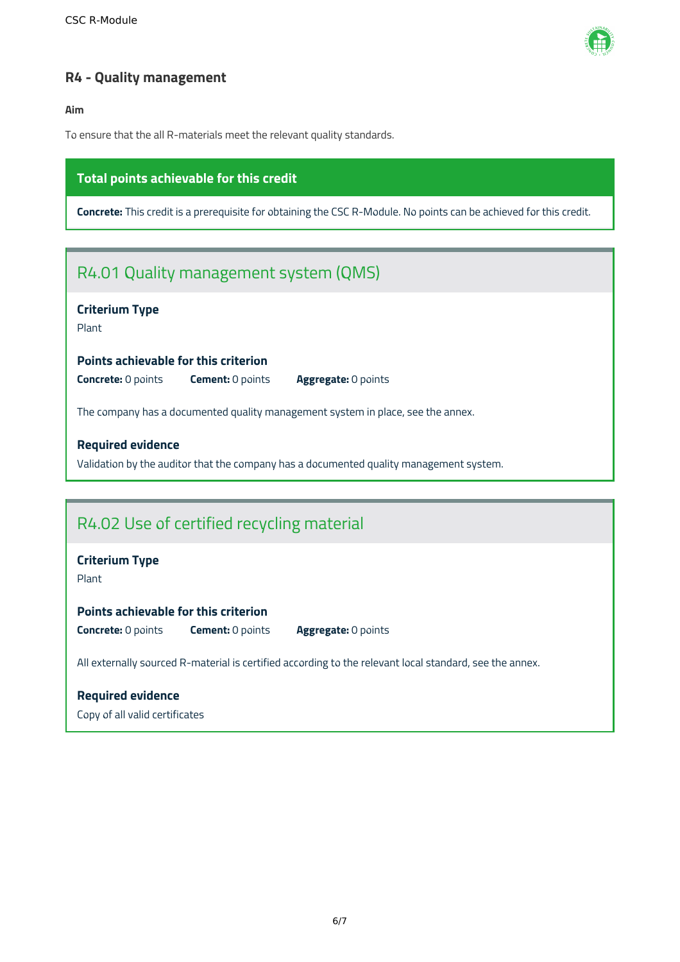

# <span id="page-6-0"></span>**R4 - Quality management**

**Aim**

To ensure that the all R-materials meet the relevant quality standards.

# **Total points achievable for this credit**

**Concrete:** This credit is a prerequisite for obtaining the CSC R-Module. No points can be achieved for this credit.

# R4.01 Quality management system (QMS)

# **Criterium Type**

Plant

#### **Points achievable for this criterion**

**Concrete:** 0 points **Cement:** 0 points **Aggregate:** 0 points

The company has a documented quality management system in place, see the annex.

## **Required evidence**

Validation by the auditor that the company has a documented quality management system.

# R4.02 Use of certified recycling material

## **Criterium Type**

Plant

#### **Points achievable for this criterion**

**Concrete:** 0 points **Cement:** 0 points **Aggregate:** 0 points

All externally sourced R-material is certified according to the relevant local standard, see the annex.

# **Required evidence**

Copy of all valid certificates